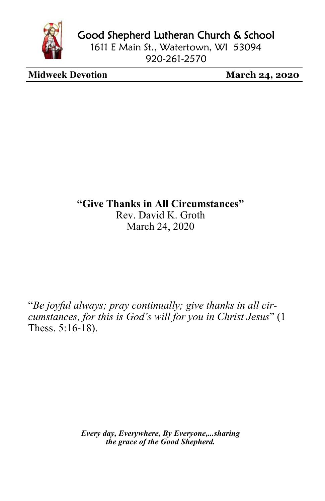

Good Shepherd Lutheran Church & School

1611 E Main St., Watertown, WI 53094 920-261-2570

**Midweek Devotion**<br> **March 24, 2020** 

## **"Give Thanks in All Circumstances"** Rev. David K. Groth March 24, 2020

"*Be joyful always; pray continually; give thanks in all circumstances, for this is God's will for you in Christ Jesus*" (1 Thess. 5:16-18).

> *Every day, Everywhere, By Everyone,...sharing the grace of the Good Shepherd.*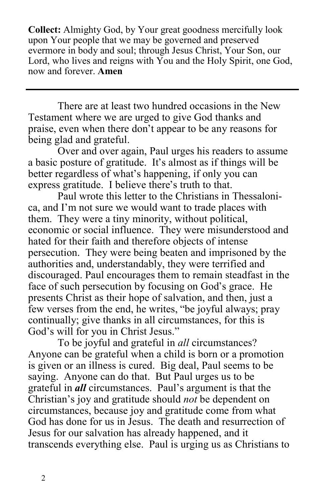**Collect:** Almighty God, by Your great goodness mercifully look upon Your people that we may be governed and preserved evermore in body and soul; through Jesus Christ, Your Son, our Lord, who lives and reigns with You and the Holy Spirit, one God, now and forever. **Amen**

There are at least two hundred occasions in the New Testament where we are urged to give God thanks and praise, even when there don't appear to be any reasons for being glad and grateful.

Over and over again, Paul urges his readers to assume a basic posture of gratitude. It's almost as if things will be better regardless of what's happening, if only you can express gratitude. I believe there's truth to that.

Paul wrote this letter to the Christians in Thessalonica, and I'm not sure we would want to trade places with them. They were a tiny minority, without political, economic or social influence. They were misunderstood and hated for their faith and therefore objects of intense persecution. They were being beaten and imprisoned by the authorities and, understandably, they were terrified and discouraged. Paul encourages them to remain steadfast in the face of such persecution by focusing on God's grace. He presents Christ as their hope of salvation, and then, just a few verses from the end, he writes, "be joyful always; pray continually; give thanks in all circumstances, for this is God's will for you in Christ Jesus."

To be joyful and grateful in *all* circumstances? Anyone can be grateful when a child is born or a promotion is given or an illness is cured. Big deal, Paul seems to be saying. Anyone can do that. But Paul urges us to be grateful in *all* circumstances. Paul's argument is that the Christian's joy and gratitude should *not* be dependent on circumstances, because joy and gratitude come from what God has done for us in Jesus. The death and resurrection of Jesus for our salvation has already happened, and it transcends everything else. Paul is urging us as Christians to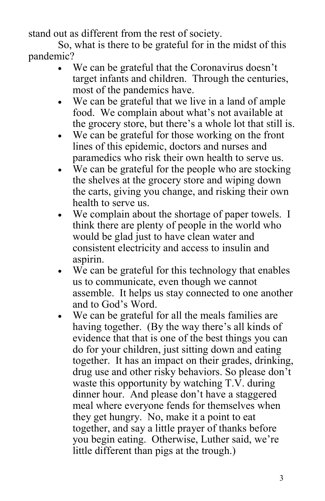stand out as different from the rest of society.

So, what is there to be grateful for in the midst of this pandemic?

- We can be grateful that the Coronavirus doesn't target infants and children. Through the centuries, most of the pandemics have.
- We can be grateful that we live in a land of ample food. We complain about what's not available at the grocery store, but there's a whole lot that still is.
- We can be grateful for those working on the front lines of this epidemic, doctors and nurses and paramedics who risk their own health to serve us.
- We can be grateful for the people who are stocking the shelves at the grocery store and wiping down the carts, giving you change, and risking their own health to serve us.
- We complain about the shortage of paper towels. I think there are plenty of people in the world who would be glad just to have clean water and consistent electricity and access to insulin and aspirin.
- We can be grateful for this technology that enables us to communicate, even though we cannot assemble. It helps us stay connected to one another and to God's Word.
- We can be grateful for all the meals families are having together. (By the way there's all kinds of evidence that that is one of the best things you can do for your children, just sitting down and eating together. It has an impact on their grades, drinking, drug use and other risky behaviors. So please don't waste this opportunity by watching T.V. during dinner hour. And please don't have a staggered meal where everyone fends for themselves when they get hungry. No, make it a point to eat together, and say a little prayer of thanks before you begin eating. Otherwise, Luther said, we're little different than pigs at the trough.)